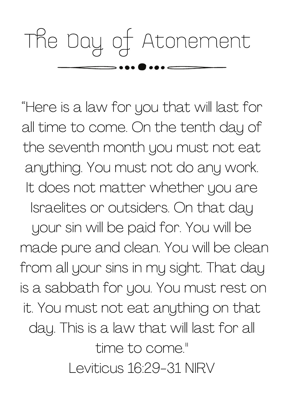## The Day of Atonement

"Here is a law for you that will last for all time to come. On the tenth day of the seventh month you must not eat anything. You must not do any work. It does not matter whether you are Israelites or outsiders. On that day your sin will be paid for. You will be made pure and clean. You will be clean from all your sins in my sight. That day is a sabbath for you. You must rest on it. You must not eat anything on that day. This is a law that will last for all time to come."

Leviticus 16:29-31 NIRV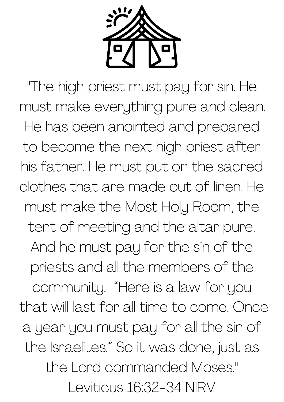

"The high priest must pay for sin. He must make everything pure and clean. He has been anointed and prepared to become the next high priest after his father. He must put on the sacred clothes that are made out of linen. He must make the Most Holy Room, the tent of meeting and the altar pure. And he must pay for the sin of the priests and all the members of the community. "Here is a law for you that will last for all time to come. Once a year you must pay for all the sin of the Israelites." So it was done, just as the Lord commanded Moses." Leviticus 16:32-34 NIRV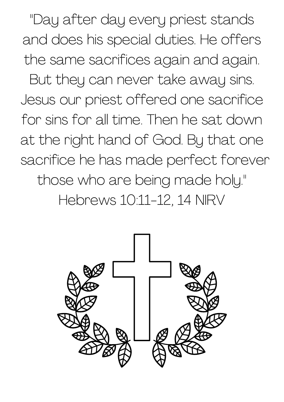"Day after day every priest stands and does his special duties. He offers the same sacrifices again and again. But they can never take away sins. Jesus our priest offered one sacrifice for sins for all time. Then he sat down at the right hand of God. By that one sacrifice he has made perfect forever those who are being made holy." Hebrews 10:11-12, 14 NIRV

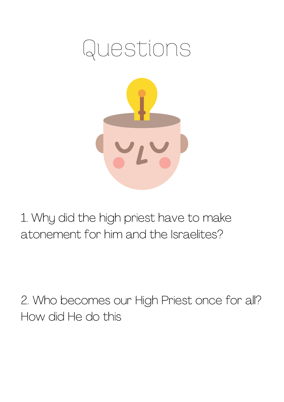

1. Why did the high priest have to make atonement for him and the Israelites?

2. Who becomes our High Priest once for all? How did He do this